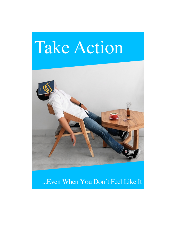# **Take Action**



... Even When You Don't Feel Like It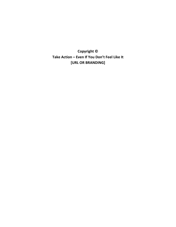**Copyright © Take Action – Even If You Don't Feel Like It [URL OR BRANDING]**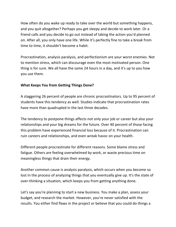How often do you wake up ready to take over the world but something happens, and you quit altogether? Perhaps you get sleepy and decide to work later. Or a friend calls and you decide to go out instead of taking the action you'd planned on. After all, you only have one life. While it's perfectly fine to take a break from time to time, it shouldn't become a habit.

Procrastination, analysis paralysis, and perfectionism are your worst enemies. Not to mention stress, which can discourage even the most motivated person. One thing is for sure. We all have the same 24 hours in a day, and it's up to you how you use them.

# **What Keeps You from Getting Things Done?**

A staggering 26 percent of people are chronic procrastinators. Up to 95 percent of students have this tendency as well. Studies indicate that procrastination rates have more than quadrupled in the last three decades.

The tendency to postpone things affects not only your job or career but also your relationships and your big dreams for the future. Over 40 percent of those facing this problem have experienced financial loss because of it. Procrastination can ruin careers and relationships, and even wreak havoc on your health.

Different people procrastinate for different reasons. Some blame stress and fatigue. Others are feeling overwhelmed by work, or waste precious time on meaningless things that drain their energy.

Another common cause is analysis paralysis, which occurs when you become so lost in the process of analyzing things that you eventually give up. It's the state of over-thinking a situation, which keeps you from getting anything done.

Let's say you're planning to start a new business. You make a plan, assess your budget, and research the market. However, you're never satisfied with the results. You either find flaws in the project or believe that you could do things a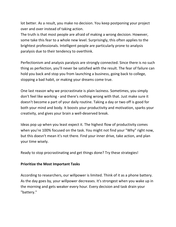lot better. As a result, you make no decision. You keep postponing your project over and over instead of taking action.

The truth is that most people are afraid of making a wrong decision. However, some take this fear to a whole new level. Surprisingly, this often applies to the brightest professionals. Intelligent people are particularly prone to analysis paralysis due to their tendency to overthink.

Perfectionism and analysis paralysis are strongly connected. Since there is no such thing as perfection, you'll never be satisfied with the result. The fear of failure can hold you back and stop you from launching a business, going back to college, stopping a bad habit, or making your dreams come true.

One last reason why we procrastinate is plain laziness. Sometimes, you simply don't feel like working - and there's nothing wrong with that. Just make sure it doesn't become a part of your daily routine. Taking a day or two off is good for both your mind and body. It boosts your productivity and motivation, sparks your creativity, and gives your brain a well-deserved break.

Ideas pop up when you least expect it. The highest flow of productivity comes when you're 100% focused on the task. You might not find your "Why" right now, but this doesn't mean it's not there. Find your inner drive, take action, and plan your time wisely.

Ready to stop procrastinating and get things done? Try these strategies!

#### **Prioritize the Most Important Tasks**

According to researchers, our willpower is limited. Think of it as a phone battery. As the day goes by, your willpower decreases. It's strongest when you wake up in the morning and gets weaker every hour. Every decision and task drain your "battery."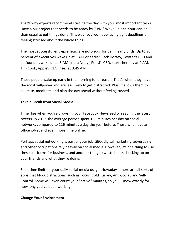That's why experts recommend starting the day with your most important tasks. Have a big project that needs to be ready by 7 PM? Wake up one hour earlier than usual to get things done. This way, you won't be facing tight deadlines or feeling stressed about the whole thing.

The most successful entrepreneurs are notorious for being early birds. Up to 90 percent of executives wake up at 6 AM or earlier. Jack Dorsey, Twitter's CEO and co-founder, wake up at 5 AM. Indra Nooyi, Pepsi's CEO, starts her day at 4 AM. Tim Cook, Apple's CEO, rises at 3:45 AM.

These people wake up early in the morning for a reason. That's when they have the most willpower and are less likely to get distracted. Plus, it allows them to exercise, meditate, and plan the day ahead without feeling rushed.

#### **Take a Break from Social Media**

Time flies when you're browsing your Facebook Newsfeed or reading the latest tweets. In 2017, the average person spent 135 minutes per day on social networks compared to 126 minutes a day the year before. Those who have an office job spend even more time online.

Perhaps social networking is part of your job. SEO, digital marketing, advertising, and other occupations rely heavily on social media. However, it's one thing to use these platforms for business, and another thing to waste hours checking up on your friends and what they're doing.

Set a time limit for your daily social media usage. Nowadays, there are all sorts of apps that block distractions, such as Focus, Cold Turkey, Anti-Social, and Self-Control. Some will even count your "active" minutes, so you'll know exactly for how long you've been working.

#### **Change Your Environment**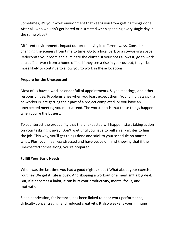Sometimes, it's your work environment that keeps you from getting things done. After all, who wouldn't get bored or distracted when spending every single day in the same place?

Different environments impact our productivity in different ways. Consider changing the scenery from time to time. Go to a local park or a co-working space. Redecorate your room and eliminate the clutter. If your boss allows it, go to work at a café or work from a home office. If they see a rise in your output, they'll be more likely to continue to allow you to work in these locations.

## **Prepare for the Unexpected**

Most of us have a work calendar full of appointments, Skype meetings, and other responsibilities. Problems arise when you least expect them. Your child gets sick, a co-worker is late getting their part of a project completed, or you have an unexpected meeting you must attend. The worst part is that these things happen when you're the busiest.

To counteract the probability that the unexpected will happen, start taking action on your tasks right away. Don't wait until you have to pull an all-nighter to finish the job. This way, you'll get things done and stick to your schedule no matter what. Plus, you'll feel less stressed and have peace of mind knowing that if the unexpected comes along, you're prepared.

## **Fulfill Your Basic Needs**

When was the last time you had a good night's sleep? What about your exercise routine? We get it. Life is busy. And skipping a workout or a meal isn't a big deal. But, if it becomes a habit, it can hurt your productivity, mental focus, and motivation.

Sleep deprivation, for instance, has been linked to poor work performance, difficulty concentrating, and reduced creativity. It also weakens your immune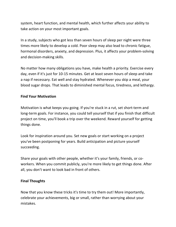system, heart function, and mental health, which further affects your ability to take action on your most important goals.

In a study, subjects who got less than seven hours of sleep per night were three times more likely to develop a cold. Poor sleep may also lead to chronic fatigue, hormonal disorders, anxiety, and depression. Plus, it affects your problem-solving and decision-making skills.

No matter how many obligations you have, make health a priority. Exercise every day, even if it's just for 10-15 minutes. Get at least seven hours of sleep and take a nap if necessary. Eat well and stay hydrated. Whenever you skip a meal, your blood sugar drops. That leads to diminished mental focus, tiredness, and lethargy.

# **Find Your Motivation**

Motivation is what keeps you going. If you're stuck in a rut, set short-term and long-term goals. For instance, you could tell yourself that if you finish that difficult project on time, you'll book a trip over the weekend. Reward yourself for getting things done.

Look for inspiration around you. Set new goals or start working on a project you've been postponing for years. Build anticipation and picture yourself succeeding.

Share your goals with other people, whether it's your family, friends, or coworkers. When you commit publicly, you're more likely to get things done. After all, you don't want to look bad in front of others.

## **Final Thoughts**

Now that you know these tricks it's time to try them out! More importantly, celebrate your achievements, big or small, rather than worrying about your mistakes.